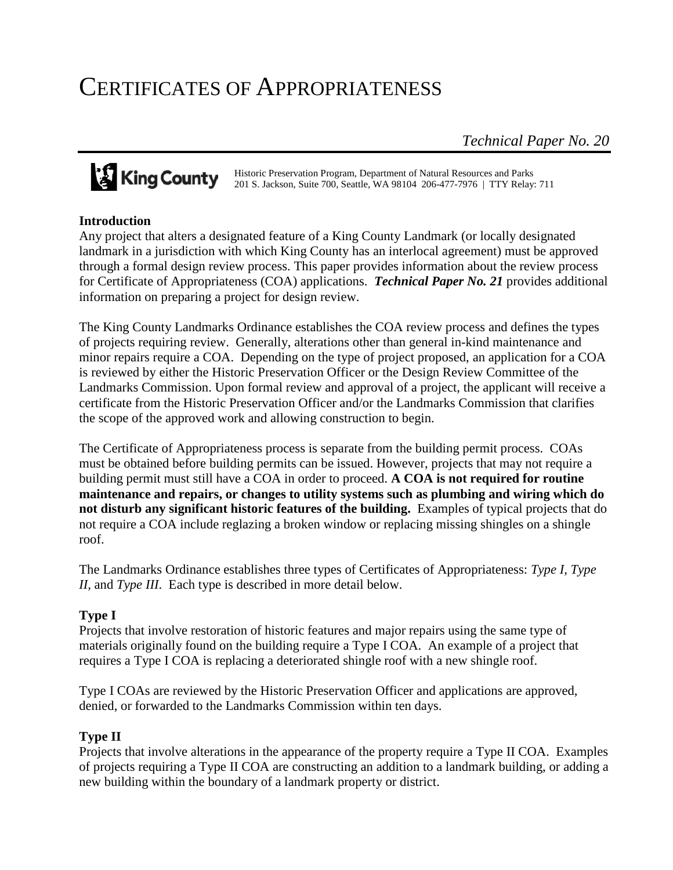# CERTIFICATES OF APPROPRIATENESS

*Technical Paper No. 20*

# King County

Historic Preservation Program, Department of Natural Resources and Parks 201 S. Jackson, Suite 700, Seattle, WA 98104 206-477-7976 | TTY Relay: 711

#### **Introduction**

Any project that alters a designated feature of a King County Landmark (or locally designated landmark in a jurisdiction with which King County has an interlocal agreement) must be approved through a formal design review process. This paper provides information about the review process for Certificate of Appropriateness (COA) applications. *Technical Paper No. 21* provides additional information on preparing a project for design review.

The King County Landmarks Ordinance establishes the COA review process and defines the types of projects requiring review. Generally, alterations other than general in-kind maintenance and minor repairs require a COA. Depending on the type of project proposed, an application for a COA is reviewed by either the Historic Preservation Officer or the Design Review Committee of the Landmarks Commission. Upon formal review and approval of a project, the applicant will receive a certificate from the Historic Preservation Officer and/or the Landmarks Commission that clarifies the scope of the approved work and allowing construction to begin.

The Certificate of Appropriateness process is separate from the building permit process. COAs must be obtained before building permits can be issued. However, projects that may not require a building permit must still have a COA in order to proceed. **A COA is not required for routine maintenance and repairs, or changes to utility systems such as plumbing and wiring which do not disturb any significant historic features of the building.** Examples of typical projects that do not require a COA include reglazing a broken window or replacing missing shingles on a shingle roof.

The Landmarks Ordinance establishes three types of Certificates of Appropriateness: *Type I, Type II,* and *Type III*. Each type is described in more detail below.

# **Type I**

Projects that involve restoration of historic features and major repairs using the same type of materials originally found on the building require a Type I COA. An example of a project that requires a Type I COA is replacing a deteriorated shingle roof with a new shingle roof.

Type I COAs are reviewed by the Historic Preservation Officer and applications are approved, denied, or forwarded to the Landmarks Commission within ten days.

#### **Type II**

Projects that involve alterations in the appearance of the property require a Type II COA. Examples of projects requiring a Type II COA are constructing an addition to a landmark building, or adding a new building within the boundary of a landmark property or district.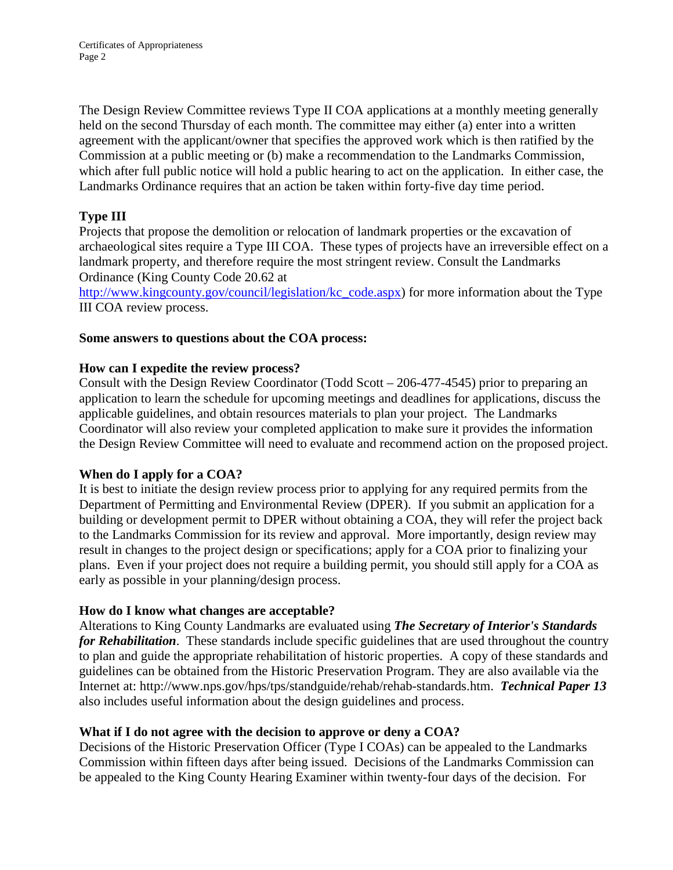The Design Review Committee reviews Type II COA applications at a monthly meeting generally held on the second Thursday of each month. The committee may either (a) enter into a written agreement with the applicant/owner that specifies the approved work which is then ratified by the Commission at a public meeting or (b) make a recommendation to the Landmarks Commission, which after full public notice will hold a public hearing to act on the application. In either case, the Landmarks Ordinance requires that an action be taken within forty-five day time period.

# **Type III**

Projects that propose the demolition or relocation of landmark properties or the excavation of archaeological sites require a Type III COA. These types of projects have an irreversible effect on a landmark property, and therefore require the most stringent review. Consult the Landmarks Ordinance (King County Code 20.62 at

[http://www.kingcounty.gov/council/legislation/kc\\_code.aspx\)](http://www.kingcounty.gov/council/legislation/kc_code.aspx) for more information about the Type III COA review process.

# **Some answers to questions about the COA process:**

#### **How can I expedite the review process?**

Consult with the Design Review Coordinator (Todd Scott – 206-477-4545) prior to preparing an application to learn the schedule for upcoming meetings and deadlines for applications, discuss the applicable guidelines, and obtain resources materials to plan your project. The Landmarks Coordinator will also review your completed application to make sure it provides the information the Design Review Committee will need to evaluate and recommend action on the proposed project.

#### **When do I apply for a COA?**

It is best to initiate the design review process prior to applying for any required permits from the Department of Permitting and Environmental Review (DPER). If you submit an application for a building or development permit to DPER without obtaining a COA, they will refer the project back to the Landmarks Commission for its review and approval. More importantly, design review may result in changes to the project design or specifications; apply for a COA prior to finalizing your plans. Even if your project does not require a building permit, you should still apply for a COA as early as possible in your planning/design process.

# **How do I know what changes are acceptable?**

Alterations to King County Landmarks are evaluated using *The Secretary of Interior's Standards for Rehabilitation.* These standards include specific guidelines that are used throughout the country to plan and guide the appropriate rehabilitation of historic properties. A copy of these standards and guidelines can be obtained from the Historic Preservation Program. They are also available via the Internet at: http://www.nps.gov/hps/tps/standguide/rehab/rehab-standards.htm. *Technical Paper 13* also includes useful information about the design guidelines and process.

# **What if I do not agree with the decision to approve or deny a COA?**

Decisions of the Historic Preservation Officer (Type I COAs) can be appealed to the Landmarks Commission within fifteen days after being issued. Decisions of the Landmarks Commission can be appealed to the King County Hearing Examiner within twenty-four days of the decision. For